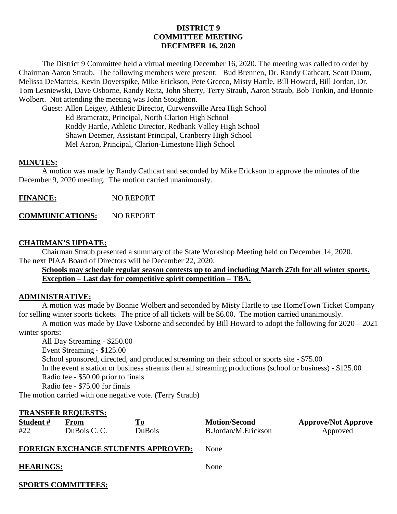# **DISTRICT 9 COMMITTEE MEETING DECEMBER 16, 2020**

The District 9 Committee held a virtual meeting December 16, 2020. The meeting was called to order by Chairman Aaron Straub. The following members were present: Bud Brennen, Dr. Randy Cathcart, Scott Daum, Melissa DeMatteis, Kevin Doverspike, Mike Erickson, Pete Grecco, Misty Hartle, Bill Howard, Bill Jordan, Dr. Tom Lesniewski, Dave Osborne, Randy Reitz, John Sherry, Terry Straub, Aaron Straub, Bob Tonkin, and Bonnie Wolbert. Not attending the meeting was John Stoughton.

Guest: Allen Leigey, Athletic Director, Curwensville Area High School Ed Bramcratz, Principal, North Clarion High School Roddy Hartle, Athletic Director, Redbank Valley High School Shawn Deemer, Assistant Principal, Cranberry High School Mel Aaron, Principal, Clarion-Limestone High School

### **MINUTES:**

A motion was made by Randy Cathcart and seconded by Mike Erickson to approve the minutes of the December 9, 2020 meeting. The motion carried unanimously.

**FINANCE:** NO REPORT

**COMMUNICATIONS:** NO REPORT

## **CHAIRMAN'S UPDATE:**

Chairman Straub presented a summary of the State Workshop Meeting held on December 14, 2020. The next PIAA Board of Directors will be December 22, 2020.

**Schools may schedule regular season contests up to and including March 27th for all winter sports. Exception – Last day for competitive spirit competition – TBA.**

### **ADMINISTRATIVE:**

A motion was made by Bonnie Wolbert and seconded by Misty Hartle to use HomeTown Ticket Company for selling winter sports tickets. The price of all tickets will be \$6.00. The motion carried unanimously.

A motion was made by Dave Osborne and seconded by Bill Howard to adopt the following for 2020 – 2021 winter sports:

All Day Streaming - \$250.00 Event Streaming - \$125.00 School sponsored, directed, and produced streaming on their school or sports site - \$75.00 In the event a station or business streams then all streaming productions (school or business) - \$125.00 Radio fee - \$50.00 prior to finals Radio fee - \$75.00 for finals

The motion carried with one negative vote. (Terry Straub)

### **TRANSFER REQUESTS:**

| Student # | From         |        | <b>Motion/Second</b> | <b>Approve/Not Approve</b> |
|-----------|--------------|--------|----------------------|----------------------------|
| #22       | DuBois C. C. | DuBois | B.Jordan/M.Erickson  | Approved                   |

### **FOREIGN EXCHANGE STUDENTS APPROVED:** None

| <b>HEARINGS:</b> | None |
|------------------|------|
|------------------|------|

**SPORTS COMMITTEES:**